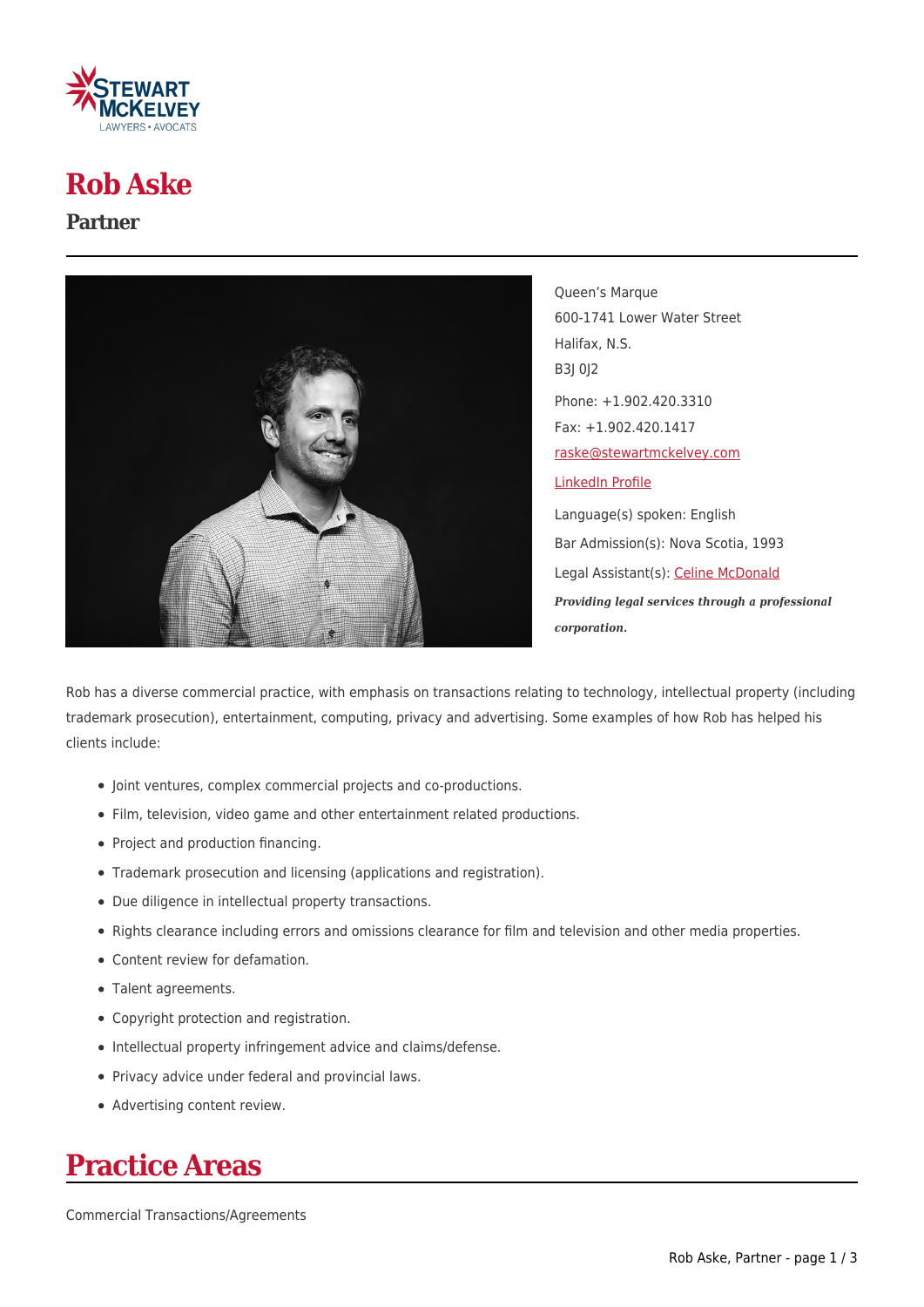

## **Rob Aske**

#### **Partner**



Queen's Marque 600-1741 Lower Water Street Halifax, N.S. B3J 0J2 Phone: +1.902.420.3310 Fax: +1.902.420.1417 [raske@stewartmckelvey.com](mailto:raske@stewartmckelvey.com) [LinkedIn Profile](https://www.linkedin.com/in/robert-aske-76b77219) Language(s) spoken: English Bar Admission(s): Nova Scotia, 1993 Legal Assistant(s): [Celine McDonald](https://www.stewartmckelvey.com/legal_assistant/mcdonald-celine) *Providing legal services through a professional corporation.*

Rob has a diverse commercial practice, with emphasis on transactions relating to technology, intellectual property (including trademark prosecution), entertainment, computing, privacy and advertising. Some examples of how Rob has helped his clients include:

- Joint ventures, complex commercial projects and co-productions.
- Film, television, video game and other entertainment related productions.
- Project and production financing.
- Trademark prosecution and licensing (applications and registration).
- Due diligence in intellectual property transactions.
- Rights clearance including errors and omissions clearance for film and television and other media properties.
- Content review for defamation.
- Talent agreements.
- Copyright protection and registration.
- Intellectual property infringement advice and claims/defense.
- Privacy advice under federal and provincial laws.
- Advertising content review.

## **Practice Areas**

Commercial Transactions/Agreements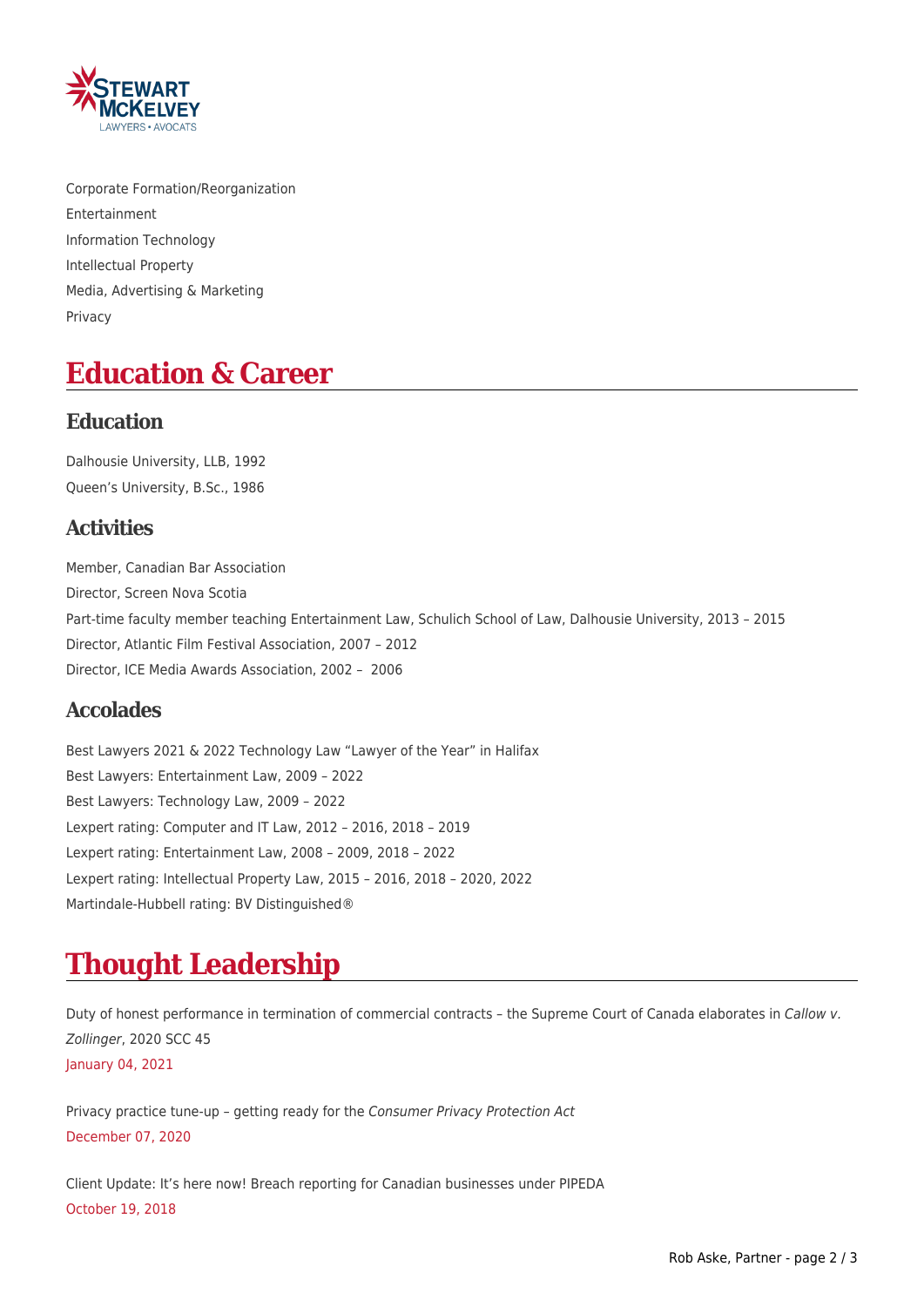

Corporate Formation/Reorganization Entertainment Information Technology Intellectual Property Media, Advertising & Marketing Privacy

## **Education & Career**

#### **Education**

Dalhousie University, LLB, 1992 Queen's University, B.Sc., 1986

### **Activities**

Member, Canadian Bar Association Director, Screen Nova Scotia Part-time faculty member teaching Entertainment Law, Schulich School of Law, Dalhousie University, 2013 – 2015 Director, Atlantic Film Festival Association, 2007 – 2012 Director, ICE Media Awards Association, 2002 – 2006

### **Accolades**

Best Lawyers 2021 & 2022 Technology Law "Lawyer of the Year" in Halifax Best Lawyers: Entertainment Law, 2009 – 2022 Best Lawyers: Technology Law, 2009 – 2022 Lexpert rating: Computer and IT Law, 2012 – 2016, 2018 – 2019 Lexpert rating: Entertainment Law, 2008 – 2009, 2018 – 2022 Lexpert rating: Intellectual Property Law, 2015 – 2016, 2018 – 2020, 2022 Martindale-Hubbell rating: BV Distinguished®

# **Thought Leadership**

Duty of honest performance in termination of commercial contracts - the Supreme Court of Canada elaborates in Callow v. Zollinger, 2020 SCC 45 January 04, 2021

Privacy practice tune-up – getting ready for the Consumer Privacy Protection Act December 07, 2020

Client Update: It's here now! Breach reporting for Canadian businesses under PIPEDA October 19, 2018